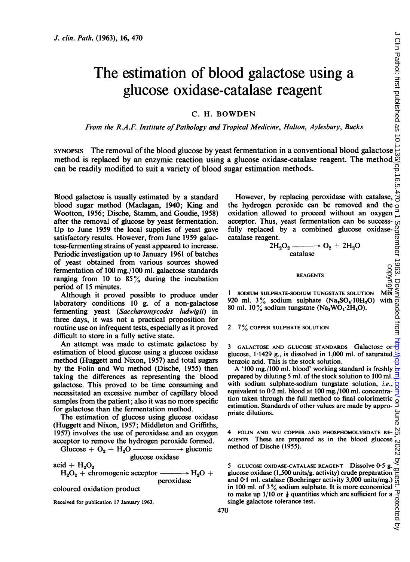# The estimation of blood galactose using a glucose oxidase-catalase reagent

# C. H. BOWDEN

From the R.A.F. Institute of Pathology and Tropical Medicine, Halton, Aylesbury, Bucks

Solution. Path. (1963), 16, 470<br>
The estimation of blood galactose using a<br>
glucose oxidase-catalase reagent<br>
C. H. BOWDEN<br>
From the R.A.F. Institute of Pathology and Tropical Medicine, Halton, Aylesbury, Bucks<br>
SYNOPSIS method is replaced by an enzymic reaction using a glucose oxidase-catalase reagent. The method can be readily modified to suit a variety of blood sugar estimation methods.

Blood galactose is usually estimated by a standard blood sugar method (Maclagan, 1940; King and Wootton, 1956; Dische, Stamm, and Goudie, 1958) after the removal of glucose by yeast fermentation. Up to June <sup>1959</sup> the local supplies of yeast gave satisfactory results. However, from June 1959 galactose-fermenting strains of yeast appeared to increase. Periodic investigation up to January 1961 of batches of yeast obtained from various sources showed fermentation of 100 mg./100 ml. galactose standards ranging from 10 to  $85\%$  during the incubation period of 15 minutes.

Although it proved possible to produce under laboratory conditions 10 g. of a non-galactose fermenting yeast (Saccharomycodes ludwigii) in three days, it was not a practical proposition for routine use on infrequent tests, especially as it proved difficult to store in a fully active state.

An attempt was made to estimate galactose by estimation of blood glucose using a glucose oxidase method (Huggett and Nixon, 1957) and total sugars by the Folin and Wu method (Dische, 1955) then taking the differences as representing the blood galactose. This proved to be time consuming and necessitated an excessive number of capillary blood samples from the patient; also it was no more specific for galactose than the fermentation method.

The estimation of glucose using glucose oxidase (Huggett and Nixon, 1957; Middleton and Griffiths, 1957) involves the use of peroxidase and an oxygen acceptor to remove the hydrogen peroxide formed.

Glucose + <sup>02</sup> + H20 -k gluconic glucose oxidase

 $acid + H<sub>2</sub>O<sub>2</sub>$ 

 $H_2O_2$  + chromogenic acceptor  $-\rightarrow H_2O +$ peroxidase

coloured oxidation product

Received for publication 17 January 1963.

However, by replacing peroxidase with catalase, the hydrogen peroxide can be removed and the  $\frac{8}{9}$ oxidation allowed to proceed without an oxygen acceptor. Thus, yeast fermentation can be successfully replaced by a combined glucose oxidasecatalase reagent. acceptor. Thus, yeast fermentation can be success-<br>
fully replaced by a combined glucose oxidase-<br>
catalase reagent.<br>  $2H_2O_2 \longrightarrow O_2 + 2H_2O$ <br>
catalase<br>
REAGENTS<br>
PEAGENTS<br>
1 SODIUM SULPHATE-SODIUM TUNGSTATE SOLUTION MERIC

$$
2H_2O_2 \xrightarrow{\text{catalase}} O_2 + 2H_2O
$$

REAGENTS

1 SODIUM SULPHATE-SODIUM TUNGSTATE SOLUTION  $M\ddot{\mathbf{R}}$ <br>920 ml. 3% sodium sulphate (Na<sub>3</sub>SO<sub>4</sub>.10H<sub>3</sub>O) with 80 ml.  $10\%$  sodium tungstate (Na<sub>2</sub>WO<sub>4</sub>·2H<sub>2</sub>O). **Kandidisher** 

2 7% COPPER SULPHATE SOLUTION

<sup>3</sup> GALACTOSE AND GLUCOSE STANDARDS Galactose or glucose, 1-1429 g., is dissolved in 1,000 ml. of saturated benzoic acid. This is the stock solution.

A '100 mg./100 ml. blood' working standard is freshly prepared by diluting 5 ml. of the stock solution to 100 ml. with sodium sulphate-sodium tungstate solution, *i.e.*,  $\frac{1}{5}$  equivalent to 0.2 ml. blood at 100 mg./100 ml. concentraequivalent to 0-2 ml. blood at 100 mg./100 ml. concentration taken through the full method to final colorimetric estimation. Standards of other values are made by appropriate dilutions.

4 FOLIN AND WU COPPER AND PHOSPHOMOLYBDATE REmethod of Dische (1955).

AGENTS These are prepared as in the blood glucose method of Dische (1955).<br>  $\frac{60}{100}$ <br>
5 GLUCOSE OXIDASE-CATALASE REAGENT Dissolve 0.5 g.<br>
glucose oxidase (1,500 units/g. activity) crude preparation  $\frac{100}{100}$ <br>
and 5 GLUCOSE OXIDASE-CATALASE REAGENT Dissolve 0.5 g. glucose oxidase (1,500 units/g. activity) crude preparation and 0-1 ml. catalase (Boehringer activity 3,000 units/mg.) in 100 ml. of 3% sodium sulphate. It is more economical  $\therefore$  to make up 1/10 or  $\frac{1}{4}$  quantities which are sufficient for a  $\frac{1}{\sqrt{3}}$  single galactose tolerance test. to make up  $1/10$  or  $\frac{1}{4}$  quantities which are sufficient for a single galactose tolerance test.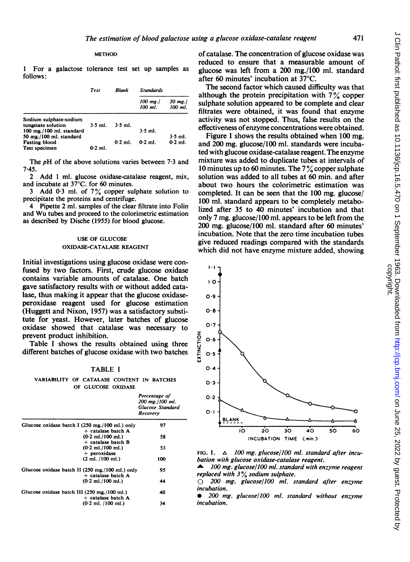<sup>1</sup> For a galactose tolerance follows:

| Test | Biank | <b>Standa</b> |
|------|-------|---------------|
|      |       |               |

|                               |           |           | 100 mg./<br>100 ml. | 50 mg./<br>100 ml. |
|-------------------------------|-----------|-----------|---------------------|--------------------|
| Sodium sulphate-sodium        |           |           |                     |                    |
| tungstate solution            | $3.5$ ml. | $3.5$ ml. |                     |                    |
| $100$ mg./ $100$ ml. standard |           |           | $3.5$ ml.           |                    |
| 50 mg./100 ml. standard       |           |           |                     | $3.5$ ml.          |
| <b>Fasting blood</b>          |           | $0.2$ ml. | $0.2$ ml.           | $0.2$ ml.          |
| Test specimen                 | $0.2$ ml. |           |                     |                    |

The  $pH$  of the above solutions varies between 7.3 and 7.45.

2 Add 1 ml. glucose oxidase-catalase reagent, mix, and incubate at 37°C. for 60 minutes.

3 Add 0.3 ml. of 7% copper sulphate solution to precipitate the proteins and centrifuge.

4 Pipette 2 ml. samples of the clear filtrate into Folin and Wu tubes and proceed to the colorimetric estimation as described by Dische (1955) for blood glucose.

## USE OF GLUCOSE OXIDASE-CATALA

Initial investigations using glucose oxidase were confused by two factors. First, crude glucose oxidase contains variable amounts of catalase. One batch gave satisfactory results with or without added catalase, thus making it appear that the glucose oxidaseperoxidase reagent used for glucose estimation (Huggett and Nixon, 1957) was a satisfactory substitute for yeast. However, later batches of glucose oxidase showed that catalase was necessary to prevent product inhibition.

Table <sup>I</sup> shows the results obtained using three different batches of glucose oxidase with two batches

## TABLE <sup>I</sup>

VARIABILITY OF CATALASE CONTENT IN BATCHES OF GLUCOSE OXIDASE

|                                                                         | Percentage of<br>200 mg./100 ml.<br><b>Glucose Standard</b><br>Recovery |
|-------------------------------------------------------------------------|-------------------------------------------------------------------------|
| Glucose oxidase batch I (250 mg./100 ml.) only<br>$+$ catalase batch A  | 97                                                                      |
| $(0.2$ ml./100 ml.)<br>$+$ catalase batch $B$                           | 58                                                                      |
| $(0.2$ ml./100 ml.)<br>$+$ peroxidase                                   | 53                                                                      |
| $(2 \text{ ml. } / 100 \text{ ml.})$                                    | 100                                                                     |
| Glucose oxidase batch II (250 mg./100 ml.) only<br>$+$ catalase batch A | 95                                                                      |
| $(0.2$ ml./100 ml.)                                                     | 44                                                                      |
| Glucose oxidase batch III (250 mg./100 ml.)<br>$+$ catalase batch A     | 40                                                                      |
| $(0.2$ ml. $/100$ ml.)                                                  | 34                                                                      |

of catalase. The concentration of glucose oxidase was reduced to ensure that a measurable amount of glucose was left from a  $200$  mg./100 ml. standard after 60 minutes' incubation at 37°C.<br>The second factor which caused difficulty was that

 $B_{\text{rds}}$  although the protein precipitation with  $7\%$  copper sulphate solution appeared to be complete and clear filtrates were obtained, it was found that enzyme activity was not stopped. Thus, false results on the effectiveness of enzyme concentrations were obtained.

Figure 1 shows the results obtained when 100 mg. and 200 mg. glucose/100 ml. standards were incubated with glucose oxidase-catalase reagent. The enzyme mixture was added to duplicate tubes at intervals of 10 minutes up to 60 minutes. The  $7\%$  copper sulphate solution was added to all tubes at 60 min. and after about two hours the colorimetric estimation was completed. It can be seen that the 100 mg. glucose/ 100 ml. standard appears to be completely metabolized after 35 to 40 minutes' incubation and that only 7 mg. glucose/100 ml. appears to be left from the 200 mg. glucose/100 ml. standard after 60 minutes' incubation. Note that the zero time incubation tubes give reduced readings compared with the standards which did not have enzyme mixture added, showing



FIG. 1.  $\Delta$  100 mg. glucose/100 ml. standard after incubation with glucose oxidase-catalase reagent.

100 mg. glucose/100 ml. standard with enzyme reagent replaced with  $3\%$  sodium sulphate.

 $\bigcirc$  200 mg. glucose/100 ml. standard after enzyme incubation.

0 200 mg. glucose/100 ml. standard without enzyme incubation.